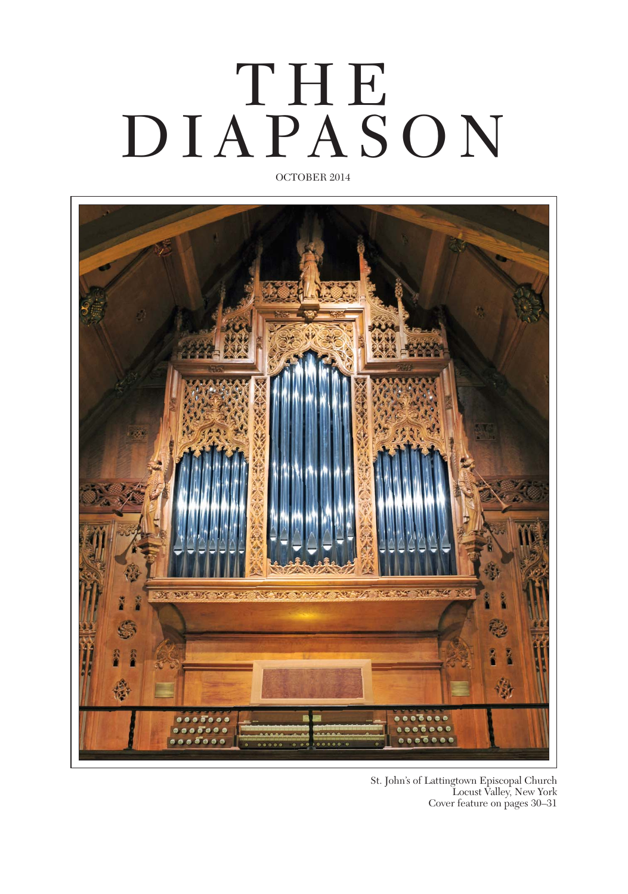# OCTOBER 2014 THE. DIAPASON



St. John's of Lattingtown Episcopal Church Locust Valley, New York Cover feature on pages 30–31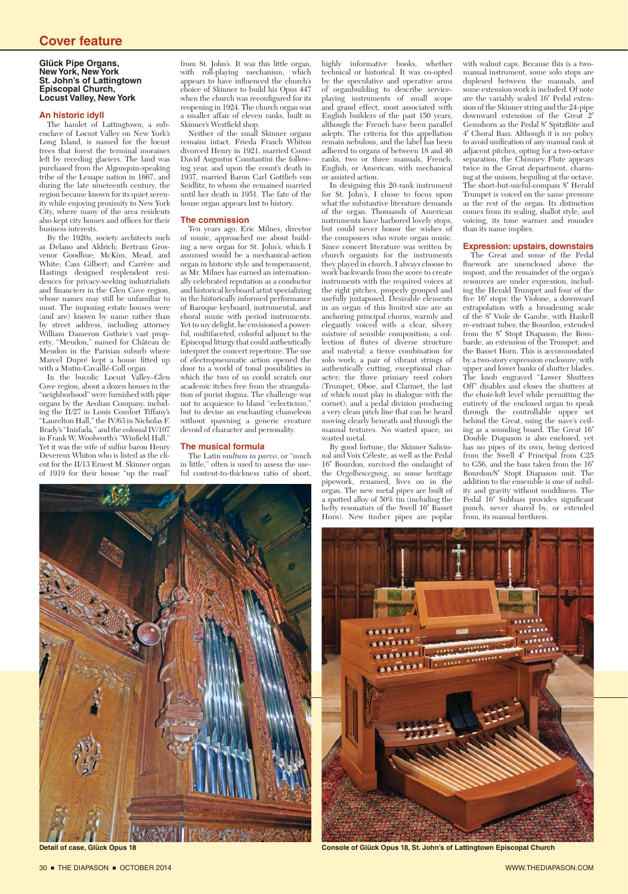### **Cover feature**

#### **Glück Pipe Organs, New York, New York St. John's of Lattingtown Episcopal Church, Locust Valley, New York**

#### **An historic idyll**

The hamlet of Lattingtown, a subenclave of Locust Valley on New York's Long Island, is named for the locust trees that forest the terminal moraines left by receding glaciers. The land was purchased from the Algonquin-speaking tribe of the Lenape nation in 1667, and during the late nineteenth century, the region became known for its quiet serenity while enjoying proximity to New York City, where many of the area residents also kept city homes and offices for their business interests.

By the 1920s, society architects such as Delano and Aldrich; Bertram Grosvenor Goodhue; McKim, Mead, and White; Cass Gilbert; and Carrère and Hastings designed resplendent residences for privacy-seeking industrialists and financiers in the Glen Cove region. whose names may still be unfamiliar to most. The imposing estate houses were (and are) known by name rather than by street address, including attorney William Dameron Guthrie's vast property, "Meudon," named for Château de Meudon in the Parisian suburb where Marcel Dupré kept a house fitted up with a Mutin-Cavaillé-Coll organ.

In the bucolic Locust Valley–Glen Cove region, about a dozen houses in the "neighborhood" were furnished with pipe organs by the Aeolian Company, including the II/27 in Louis Comfort Tiffany's "Laurelton Hall," the IV/63 in Nicholas F. Brady's "Inisfada," and the colossal IV/107 in Frank W. Woolworth's "Winfield Hall." Yet it was the wife of sulfur baron Henry Devereux Whiton who is listed as the client for the II/13 Ernest M. Skinner organ of 1919 for their house "up the road"

from St. John's. It was this little organ, with roll-playing mechanism, which appears to have influenced the church's choice of Skinner to build his Opus 447 when the church was reconfigured for its reopening in 1924. The church organ was a smaller affair of eleven ranks, built in Skinner's Westfield shop.

Neither of the small Skinner organs remains intact. Frieda Frasch Whiton divorced Henry in 1921, married Count David Augustus Constantini the following year, and upon the count's death in 1937, married Baron Carl Gottlieb von Seidlitz, to whom she remained married until her death in 1951. The fate of the house organ appears lost to history.

#### **The commission**

Ten years ago, Eric Milnes, director of music, approached me about building a new organ for St. John's, which I assumed would be a mechanical-action organ in historic style and temperament, as Mr. Milnes has earned an internationally celebrated reputation as a conductor and historical keyboard artist specializing in the historically informed performance of Baroque keyboard, instrumental, and choral music with period instruments. Yet to my delight, he envisioned a powerful, multifaceted, colorful adjunct to the Episcopal liturgy that could authentically interpret the concert repertoire. The use of electropneumatic action opened the door to a world of tonal possibilities in which the two of us could scratch our academic itches free from the strangulation of purist dogma. The challenge was not to acquiesce to bland "eclecticism," but to devise an enchanting chameleon without spawning a generic creature devoid of character and personality.

#### **The musical formula**

The Latin *multum in parvo*, or "much in little," often is used to assess the useful content-to-thickness ratio of short,



highly informative books, whether technical or historical. It was co-opted by the speculative and operative arms of organbuilding to describe serviceplaying instruments of small scope and grand effect, most associated with English builders of the past 150 years, although the French have been parallel adepts. The criteria for this appellation remain nebulous, and the label has been adhered to organs of between 18 and 40 ranks, two or three manuals, French, English, or American, with mechanical or assisted action.

In designing this 20-rank instrument for St. John's, I chose to focus upon what the substantive literature demands of the organ. Thousands of American instruments have harbored lovely stops, but could never honor the wishes of the composers who wrote organ music. Since concert literature was written by church organists for the instruments they played in church, I always choose to work backwards from the score to create instruments with the required voices at the right pitches, properly grouped and usefully juxtaposed. Desirable elements in an organ of this limited size are an anchoring principal chorus, warmly and elegantly voiced with a clear, silvery mixture of sensible composition; a collection of flutes of diverse structure and material; a tierce combination for solo work; a pair of vibrant strings of authentically cutting, exceptional character; the three primary reed colors (Trumpet, Oboe, and Clarinet, the last of which must play in dialogue with the cornet); and a pedal division producing a very clean pitch line that can be heard moving clearly beneath and through the manual textures. No wasted space, no wasted metal.

By good fortune, the Skinner Salicional and Voix Céleste, as well as the Pedal 16′ Bourdon, survived the onslaught of the *Orgelbewegung*, so some heritage pipework, renamed, lives on in the organ. The new metal pipes are built of a spotted alloy of 50% tin (including the hefty resonators of the Swell 16′ Basset Horn). New timber pipes are poplar

with walnut caps. Because this is a twomanual instrument, some solo stops are duplexed between the manuals, and some extension work is included. Of note are the variably scaled 16′ Pedal extenare the variably scale<br>sion of the Skinner string and the 24-pipe<br> $\frac{f_{\text{the}}}{f_{\text{the}}}$  Creat 2' downward extension of the Great Gemshorn as the Pedal 8' Spitzflöte and 4′ Choral Bass. Although it is my policy to avoid unification of any manual rank at adjacent pitches, opting for a two-octave separation, the Chimney Flute appears twice in the Great department, charming at the unison, beguiling at the octave. The short-but-useful-compass 8′ Herald Trumpet is voiced on the same pressure as the rest of the organ. Its distinction comes from its scaling, shallot style, and voicing, its tone warmer and rounder than its name implies.

#### **Expression: upstairs, downstairs**

The Great and some of the Pedal fluework are unenclosed above the impost, and the remainder of the organ's resources are under expression, including the Herald Trumpet and four of the five 16' stops: the Violone, a downward extrapolation with a broadening scale of the 8′ Viole de Gambe, with Haskell re-entrant tubes; the Bourdon, extended from the 8′ Stopt Diapason; the Bombarde, an extension of the Trumpet; and the Basset Horn. This is accommodated by a two-story expression enclosure, with upper and lower banks of shutter blades. The knob engraved "Lower Shutters Off" disables and closes the shutters at the choir-loft level while permitting the entirety of the enclosed organ to speak through the controllable upper set behind the Great, using the nave's ceiling as a sounding board. The Great 16′ Double Diapason is also enclosed, yet has no pipes of its own, being derived from the Swell 4′ Principal from C25 to G56, and the bass taken from the 16′ Bourdon/8′ Stopt Diapason unit. The addition to the ensemble is one of nobility and gravity without muddiness. The Pedal 16' Subbass provides significant punch, never shared by, or extended from, its manual brethren.



**Detail of case, Glück Opus 18 Console of Glück Opus 18, St. John's of Lattingtown Episcopal Church**